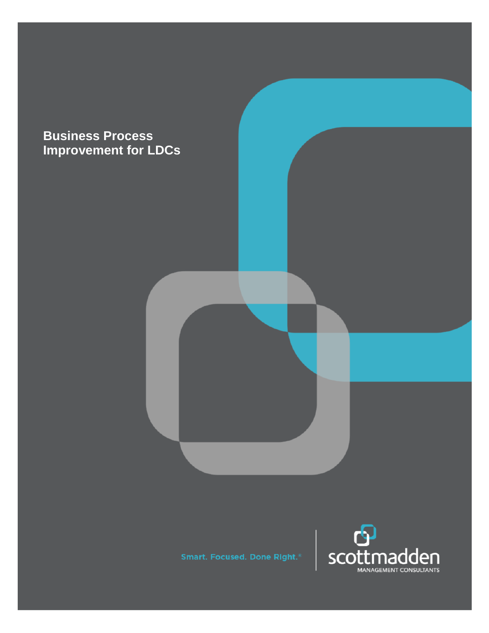## **Business Process Improvement for LDCs**

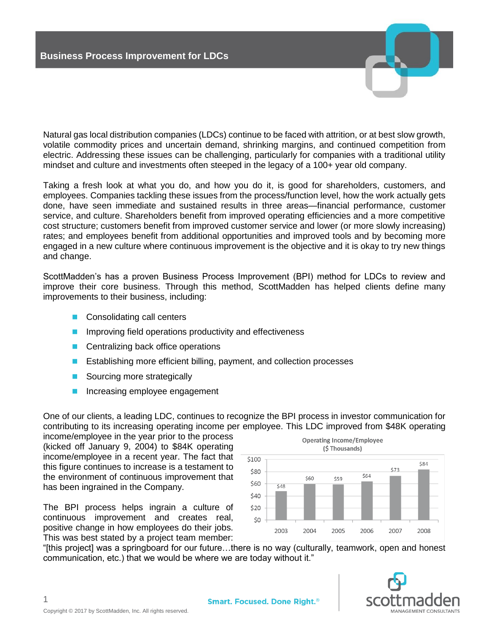

Natural gas local distribution companies (LDCs) continue to be faced with attrition, or at best slow growth, volatile commodity prices and uncertain demand, shrinking margins, and continued competition from electric. Addressing these issues can be challenging, particularly for companies with a traditional utility mindset and culture and investments often steeped in the legacy of a 100+ year old company.

Taking a fresh look at what you do, and how you do it, is good for shareholders, customers, and employees. Companies tackling these issues from the process/function level, how the work actually gets done, have seen immediate and sustained results in three areas—financial performance, customer service, and culture. Shareholders benefit from improved operating efficiencies and a more competitive cost structure; customers benefit from improved customer service and lower (or more slowly increasing) rates; and employees benefit from additional opportunities and improved tools and by becoming more engaged in a new culture where continuous improvement is the objective and it is okay to try new things and change.

ScottMadden's has a proven Business Process Improvement (BPI) method for LDCs to review and improve their core business. Through this method, ScottMadden has helped clients define many improvements to their business, including:

- Consolidating call centers
- Improving field operations productivity and effectiveness
- Centralizing back office operations
- Establishing more efficient billing, payment, and collection processes
- Sourcing more strategically
- Increasing employee engagement

One of our clients, a leading LDC, continues to recognize the BPI process in investor communication for contributing to its increasing operating income per employee. This LDC improved from \$48K operating

income/employee in the year prior to the process (kicked off January 9, 2004) to \$84K operating income/employee in a recent year. The fact that this figure continues to increase is a testament to the environment of continuous improvement that has been ingrained in the Company.

The BPI process helps ingrain a culture of continuous improvement and creates real, positive change in how employees do their jobs. This was best stated by a project team member:



"[this project] was a springboard for our future…there is no way (culturally, teamwork, open and honest communication, etc.) that we would be where we are today without it."



1